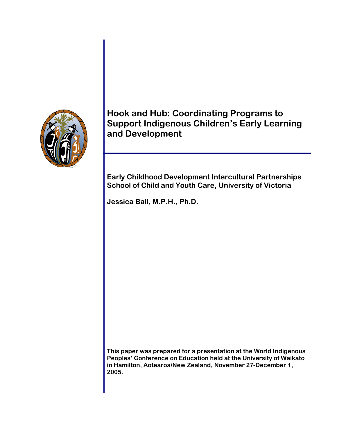

**Hook and Hub: Coordinating Programs to Support Indigenous Children's Early Learning and Development** 

**Early Childhood Development Intercultural Partnerships School of Child and Youth Care, University of Victoria** 

**Jessica Ball, M.P.H., Ph.D.** 

**This paper was prepared for a presentation at the World Indigenous Peoples' Conference on Education held at the University of Waikato in Hamilton, Aotearoa/New Zealand, November 27-December 1, 2005.**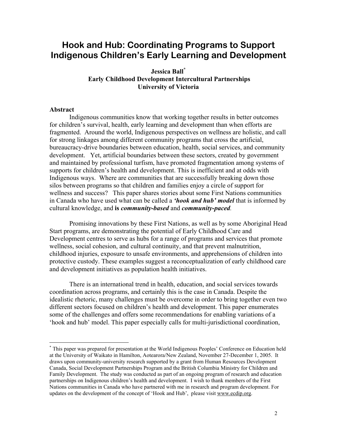# **Hook and Hub: Coordinating Programs to Support Indigenous Children's Early Learning and Development**

## **Jessica Ball\* Early Childhood Development Intercultural Partnerships University of Victoria**

#### **Abstract**

1

Indigenous communities know that working together results in better outcomes for children's survival, health, early learning and development than when efforts are fragmented. Around the world, Indigenous perspectives on wellness are holistic, and call for strong linkages among different community programs that cross the artificial, bureaucracy-drive boundaries between education, health, social services, and community development. Yet, artificial boundaries between these sectors, created by government and maintained by professional turfism, have promoted fragmentation among systems of supports for children's health and development. This is inefficient and at odds with Indigenous ways. Where are communities that are successfully breaking down those silos between programs so that children and families enjoy a circle of support for wellness and success? This paper shares stories about some First Nations communities in Canada who have used what can be called a *'hook and hub' model* that is informed by cultural knowledge, and **is** *community-based* and *community-paced.* 

Promising innovations by these First Nations, as well as by some Aboriginal Head Start programs, are demonstrating the potential of Early Childhood Care and Development centres to serve as hubs for a range of programs and services that promote wellness, social cohesion, and cultural continuity, and that prevent malnutrition, childhood injuries, exposure to unsafe environments, and apprehensions of children into protective custody. These examples suggest a reconceptualization of early childhood care and development initiatives as population health initiatives.

There is an international trend in health, education, and social services towards coordination across programs, and certainly this is the case in Canada. Despite the idealistic rhetoric, many challenges must be overcome in order to bring together even two different sectors focused on children's health and development. This paper enumerates some of the challenges and offers some recommendations for enabling variations of a 'hook and hub' model. This paper especially calls for multi-jurisdictional coordination,

<sup>\*</sup> This paper was prepared for presentation at the World Indigenous Peoples' Conference on Education held at the University of Waikato in Hamilton, Aotearora/New Zealand, November 27-December 1, 2005. It draws upon community-university research supported by a grant from Human Resources Development Canada, Social Development Partnerships Program and the British Columbia Ministry for Children and Family Development. The study was conducted as part of an ongoing program of research and education partnerships on Indigenous children's health and development. I wish to thank members of the First Nations communities in Canada who have partnered with me in research and program development. For updates on the development of the concept of 'Hook and Hub', please visit www.ecdip.org.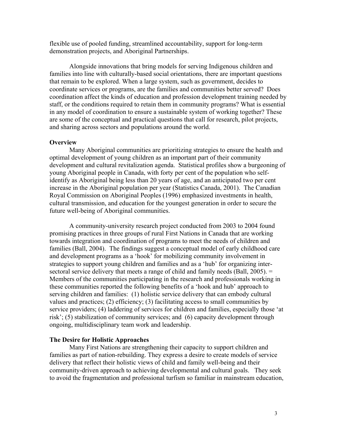flexible use of pooled funding, streamlined accountability, support for long-term demonstration projects, and Aboriginal Partnerships.

Alongside innovations that bring models for serving Indigenous children and families into line with culturally-based social orientations, there are important questions that remain to be explored. When a large system, such as government, decides to coordinate services or programs, are the families and communities better served? Does coordination affect the kinds of education and profession development training needed by staff, or the conditions required to retain them in community programs? What is essential in any model of coordination to ensure a sustainable system of working together? These are some of the conceptual and practical questions that call for research, pilot projects, and sharing across sectors and populations around the world.

#### **Overview**

Many Aboriginal communities are prioritizing strategies to ensure the health and optimal development of young children as an important part of their community development and cultural revitalization agenda. Statistical profiles show a burgeoning of young Aboriginal people in Canada, with forty per cent of the population who selfidentify as Aboriginal being less than 20 years of age, and an anticipated two per cent increase in the Aboriginal population per year (Statistics Canada, 2001). The Canadian Royal Commission on Aboriginal Peoples (1996) emphasized investments in health, cultural transmission, and education for the youngest generation in order to secure the future well-being of Aboriginal communities.

A community-university research project conducted from 2003 to 2004 found promising practices in three groups of rural First Nations in Canada that are working towards integration and coordination of programs to meet the needs of children and families (Ball, 2004). The findings suggest a conceptual model of early childhood care and development programs as a 'hook' for mobilizing community involvement in strategies to support young children and families and as a 'hub' for organizing intersectoral service delivery that meets a range of child and family needs (Ball,  $2005$ ).  $=$ Members of the communities participating in the research and professionals working in these communities reported the following benefits of a 'hook and hub' approach to serving children and families: (1) holistic service delivery that can embody cultural values and practices; (2) efficiency; (3) facilitating access to small communities by service providers; (4) laddering of services for children and families, especially those 'at risk'; (5) stabilization of community services; and (6) capacity development through ongoing, multidisciplinary team work and leadership.

#### **The Desire for Holistic Approaches**

Many First Nations are strengthening their capacity to support children and families as part of nation-rebuilding. They express a desire to create models of service delivery that reflect their holistic views of child and family well-being and their community-driven approach to achieving developmental and cultural goals. They seek to avoid the fragmentation and professional turfism so familiar in mainstream education,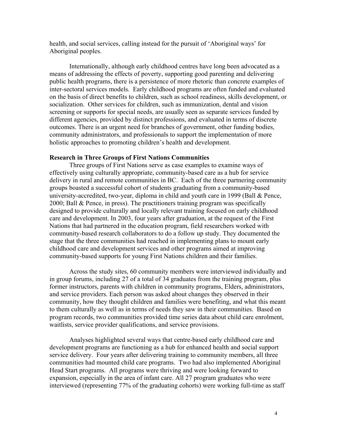health, and social services, calling instead for the pursuit of 'Aboriginal ways' for Aboriginal peoples.

Internationally, although early childhood centres have long been advocated as a means of addressing the effects of poverty, supporting good parenting and delivering public health programs, there is a persistence of more rhetoric than concrete examples of inter-sectoral services models. Early childhood programs are often funded and evaluated on the basis of direct benefits to children, such as school readiness, skills development, or socialization. Other services for children, such as immunization, dental and vision screening or supports for special needs, are usually seen as separate services funded by different agencies, provided by distinct professions, and evaluated in terms of discrete outcomes. There is an urgent need for branches of government, other funding bodies, community administrators, and professionals to support the implementation of more holistic approaches to promoting children's health and development.

#### **Research in Three Groups of First Nations Communities**

Three groups of First Nations serve as case examples to examine ways of effectively using culturally appropriate, community-based care as a hub for service delivery in rural and remote communities in BC. Each of the three partnering community groups boasted a successful cohort of students graduating from a community-based university-accredited, two-year, diploma in child and youth care in 1999 (Ball & Pence, 2000; Ball & Pence, in press). The practitioners training program was specifically designed to provide culturally and locally relevant training focused on early childhood care and development. In 2003, four years after graduation, at the request of the First Nations that had partnered in the education program, field researchers worked with community-based research collaborators to do a follow up study. They documented the stage that the three communities had reached in implementing plans to mount early childhood care and development services and other programs aimed at improving community-based supports for young First Nations children and their families.

Across the study sites, 60 community members were interviewed individually and in group forums, including 27 of a total of 34 graduates from the training program, plus former instructors, parents with children in community programs, Elders, administrators, and service providers. Each person was asked about changes they observed in their community, how they thought children and families were benefiting, and what this meant to them culturally as well as in terms of needs they saw in their communities. Based on program records, two communities provided time series data about child care enrolment, waitlists, service provider qualifications, and service provisions.

Analyses highlighted several ways that centre-based early childhood care and development programs are functioning as a hub for enhanced health and social support service delivery. Four years after delivering training to community members, all three communities had mounted child care programs. Two had also implemented Aboriginal Head Start programs. All programs were thriving and were looking forward to expansion, especially in the area of infant care. All 27 program graduates who were interviewed (representing 77% of the graduating cohorts) were working full-time as staff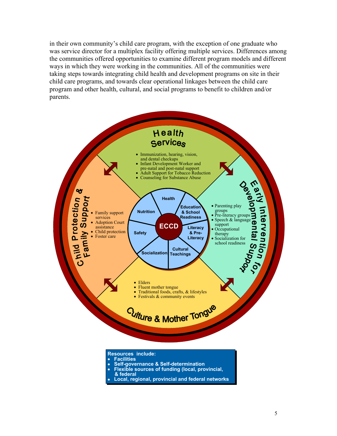in their own community's child care program, with the exception of one graduate who was service director for a multiplex facility offering multiple services. Differences among the communities offered opportunities to examine different program models and different ways in which they were working in the communities. All of the communities were taking steps towards integrating child health and development programs on site in their child care programs, and towards clear operational linkages between the child care program and other health, cultural, and social programs to benefit to children and/or parents.



- **& federal**
- **Local, regional, provincial and federal networks**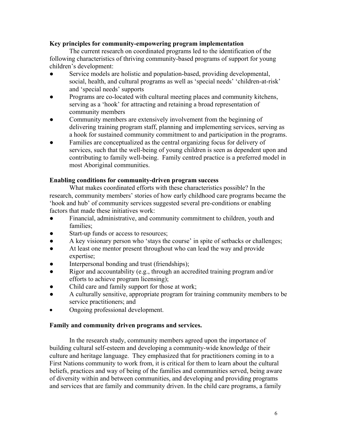## **Key principles for community-empowering program implementation**

The current research on coordinated programs led to the identification of the following characteristics of thriving community-based programs of support for young children's development:

- Service models are holistic and population-based, providing developmental, social, health, and cultural programs as well as 'special needs' 'children-at-risk' and 'special needs' supports
- Programs are co-located with cultural meeting places and community kitchens, serving as a 'hook' for attracting and retaining a broad representation of community members
- Community members are extensively involvement from the beginning of delivering training program staff, planning and implementing services, serving as a hook for sustained community commitment to and participation in the programs.
- Families are conceptualized as the central organizing focus for delivery of services, such that the well-being of young children is seen as dependent upon and contributing to family well-being. Family centred practice is a preferred model in most Aboriginal communities.

## **Enabling conditions for community-driven program success**

What makes coordinated efforts with these characteristics possible? In the research, community members' stories of how early childhood care programs became the 'hook and hub' of community services suggested several pre-conditions or enabling factors that made these initiatives work:

- Financial, administrative, and community commitment to children, youth and families;
- Start-up funds or access to resources;
- A key visionary person who 'stays the course' in spite of setbacks or challenges;
- At least one mentor present throughout who can lead the way and provide expertise;
- Interpersonal bonding and trust (friendships);
- Rigor and accountability (e.g., through an accredited training program and/or efforts to achieve program licensing);
- Child care and family support for those at work;
- A culturally sensitive, appropriate program for training community members to be service practitioners; and
- Ongoing professional development.

### **Family and community driven programs and services.**

In the research study, community members agreed upon the importance of building cultural self-esteem and developing a community-wide knowledge of their culture and heritage language. They emphasized that for practitioners coming in to a First Nations community to work from, it is critical for them to learn about the cultural beliefs, practices and way of being of the families and communities served, being aware of diversity within and between communities, and developing and providing programs and services that are family and community driven. In the child care programs, a family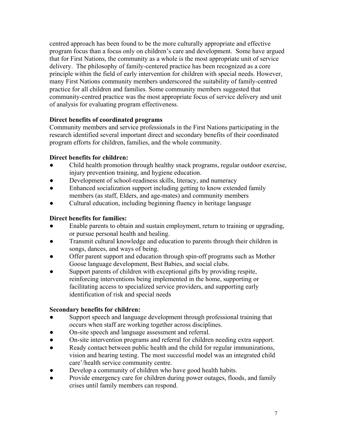centred approach has been found to be the more culturally appropriate and effective program focus than a focus only on children's care and development. Some have argued that for First Nations, the community as a whole is the most appropriate unit of service delivery. The philosophy of family-centered practice has been recognized as a core principle within the field of early intervention for children with special needs. However, many First Nations community members underscored the suitability of family-centred practice for all children and families. Some community members suggested that community-centred practice was the most appropriate focus of service delivery and unit of analysis for evaluating program effectiveness.

# **Direct benefits of coordinated programs**

Community members and service professionals in the First Nations participating in the research identified several important direct and secondary benefits of their coordinated program efforts for children, families, and the whole community.

# **Direct benefits for children:**

- Child health promotion through healthy snack programs, regular outdoor exercise, injury prevention training, and hygiene education.
- Development of school-readiness skills, literacy, and numeracy
- Enhanced socialization support including getting to know extended family members (as staff, Elders, and age-mates) and community members
- Cultural education, including beginning fluency in heritage language

# **Direct benefits for families:**

- Enable parents to obtain and sustain employment, return to training or upgrading, or pursue personal health and healing.
- Transmit cultural knowledge and education to parents through their children in songs, dances, and ways of being.
- Offer parent support and education through spin-off programs such as Mother Goose language development, Best Babies, and social clubs.
- Support parents of children with exceptional gifts by providing respite, reinforcing interventions being implemented in the home, supporting or facilitating access to specialized service providers, and supporting early identification of risk and special needs

# **Secondary benefits for children:**

- Support speech and language development through professional training that occurs when staff are working together across disciplines.
- On-site speech and language assessment and referral.
- On-site intervention programs and referral for children needing extra support.
- Ready contact between public health and the child for regular immunizations, vision and hearing testing. The most successful model was an integrated child care'/health service community centre.
- Develop a community of children who have good health habits.
- Provide emergency care for children during power outages, floods, and family crises until family members can respond.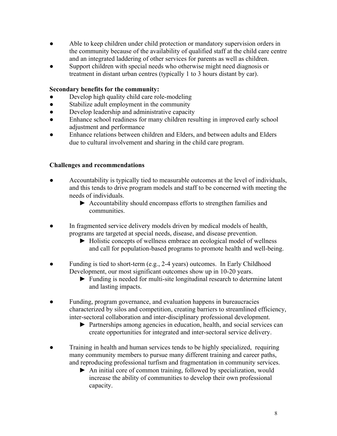- Able to keep children under child protection or mandatory supervision orders in the community because of the availability of qualified staff at the child care centre and an integrated laddering of other services for parents as well as children.
- Support children with special needs who otherwise might need diagnosis or treatment in distant urban centres (typically 1 to 3 hours distant by car).

# **Secondary benefits for the community:**

- Develop high quality child care role-modeling
- Stabilize adult employment in the community
- Develop leadership and administrative capacity
- Enhance school readiness for many children resulting in improved early school adjustment and performance
- Enhance relations between children and Elders, and between adults and Elders due to cultural involvement and sharing in the child care program.

### **Challenges and recommendations**

- Accountability is typically tied to measurable outcomes at the level of individuals, and this tends to drive program models and staff to be concerned with meeting the needs of individuals.
	- ► Accountability should encompass efforts to strengthen families and communities.
- In fragmented service delivery models driven by medical models of health, programs are targeted at special needs, disease, and disease prevention.
	- ► Holistic concepts of wellness embrace an ecological model of wellness and call for population-based programs to promote health and well-being.
- Funding is tied to short-term (e.g., 2-4 years) outcomes. In Early Childhood Development, our most significant outcomes show up in 10-20 years.
	- ► Funding is needed for multi-site longitudinal research to determine latent and lasting impacts.
- Funding, program governance, and evaluation happens in bureaucracies characterized by silos and competition, creating barriers to streamlined efficiency, inter-sectoral collaboration and inter-disciplinary professional development.
	- ► Partnerships among agencies in education, health, and social services can create opportunities for integrated and inter-sectoral service delivery.
- Training in health and human services tends to be highly specialized, requiring many community members to pursue many different training and career paths, and reproducing professional turfism and fragmentation in community services.
	- ► An initial core of common training, followed by specialization, would increase the ability of communities to develop their own professional capacity.